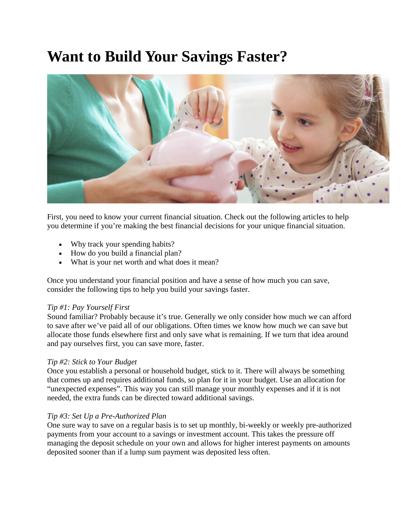# **Want to Build Your Savings Faster?**



First, you need to know your current financial situation. Check out the following articles to help you determine if you're making the best financial decisions for your unique financial situation.

- Why track your spending habits?
- How do you build a financial plan?
- What is your net worth and what does it mean?

Once you understand your financial position and have a sense of how much you can save, consider the following tips to help you build your savings faster.

#### *Tip #1: Pay Yourself First*

Sound familiar? Probably because it's true. Generally we only consider how much we can afford to save after we've paid all of our obligations. Often times we know how much we can save but allocate those funds elsewhere first and only save what is remaining. If we turn that idea around and pay ourselves first, you can save more, faster.

#### *Tip #2: Stick to Your Budget*

Once you establish a personal or household budget, stick to it. There will always be something that comes up and requires additional funds, so plan for it in your budget. Use an allocation for "unexpected expenses". This way you can still manage your monthly expenses and if it is not needed, the extra funds can be directed toward additional savings.

### *Tip #3: Set Up a Pre-Authorized Plan*

One sure way to save on a regular basis is to set up monthly, bi-weekly or weekly pre-authorized payments from your account to a savings or investment account. This takes the pressure off managing the deposit schedule on your own and allows for higher interest payments on amounts deposited sooner than if a lump sum payment was deposited less often.